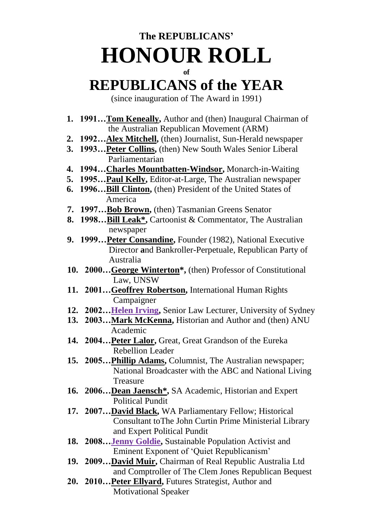## **The REPUBLICANS' HONOUR ROLL**

## **of**

## **REPUBLICANS of the YEAR**

(since inauguration of The Award in 1991)

- **1. 1991…Tom Keneally,** Author and (then) Inaugural Chairman of the Australian Republican Movement (ARM)
- **2. 1992…Alex Mitchell,** (then) Journalist, Sun-Herald newspaper
- **3. 1993…Peter Collins,** (then) New South Wales Senior Liberal Parliamentarian
- **4. 1994…Charles Mountbatten-Windsor,** Monarch-in-Waiting
- **5. 1995…Paul Kelly,** Editor-at-Large, The Australian newspaper
- **6. 1996…Bill Clinton,** (then) President of the United States of America
- **7. 1997…Bob Brown,** (then) Tasmanian Greens Senator
- **8. 1998...** Bill Leak<sup>\*</sup>, Cartoonist & Commentator, The Australian newspaper
	- **9. 1999…Peter Consandine,** Founder (1982), National Executive Director **a**nd Bankroller-Perpetuale, Republican Party of Australia
- 10. 2000...George Winterton<sup>\*</sup>, (then) Professor of Constitutional Law, UNSW
	- **11. 2001…Geoffrey Robertson,** International Human Rights Campaigner
	- 12. 2002...**Helen Irving,** Senior Law Lecturer, University of Sydney
	- **13. 2003…Mark McKenna,** Historian and Author and (then) ANU Academic
	- 14. 2004...**Peter Lalor**, Great, Great Grandson of the Eureka Rebellion Leader
	- **15. 2005…Phillip Adams,** Columnist, The Australian newspaper; National Broadcaster with the ABC and National Living Treasure
- **16. 2006…Dean Jaensch\* ,** SA Academic, Historian and Expert Political Pundit
	- **17. 2007…David Black,** WA Parliamentary Fellow; Historical Consultant toThe John Curtin Prime Ministerial Library and Expert Political Pundit
	- **18. 2008…Jenny Goldie,** Sustainable Population Activist and Eminent Exponent of 'Quiet Republicanism'
	- **19. 2009…David Muir,** Chairman of Real Republic Australia Ltd and Comptroller of The Clem Jones Republican Bequest
	- **20. 2010…Peter Ellyard,** Futures Strategist, Author and Motivational Speaker